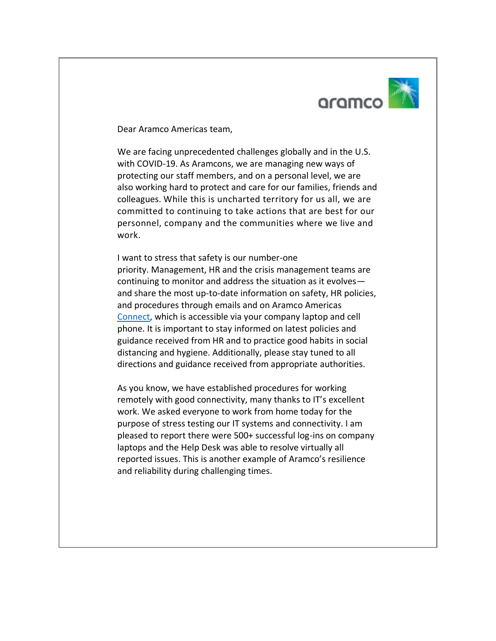

Dear Aramco Americas team,

We are facing unprecedented challenges globally and in the U.S. with COVID-19. As Aramcons, we are managing new ways of protecting our staff members, and on a personal level, we are also working hard to protect and care for our families, friends and colleagues. While this is uncharted territory for us all, we are committed to continuing to take actions that are best for our personnel, company and the communities where we live and work.

I want to stress that safety is our number-one priority. Management, HR and the crisis management teams are continuing to monitor and address the situation as it evolves and share the most up-to-date information on safety, HR policies, and procedures through emails and on Aramco Americas Connect, which is accessible via your company laptop and cell phone. It is important to stay informed on latest policies and guidance received from HR and to practice good habits in social distancing and hygiene. Additionally, please stay tuned to all directions and guidance received from appropriate authorities.

As you know, we have established procedures for working remotely with good connectivity, many thanks to IT's excellent work. We asked everyone to work from home today for the purpose of stress testing our IT systems and connectivity. I am pleased to report there were 500+ successful log-ins on company laptops and the Help Desk was able to resolve virtually all reported issues. This is another example of Aramco's resilience and reliability during challenging times.